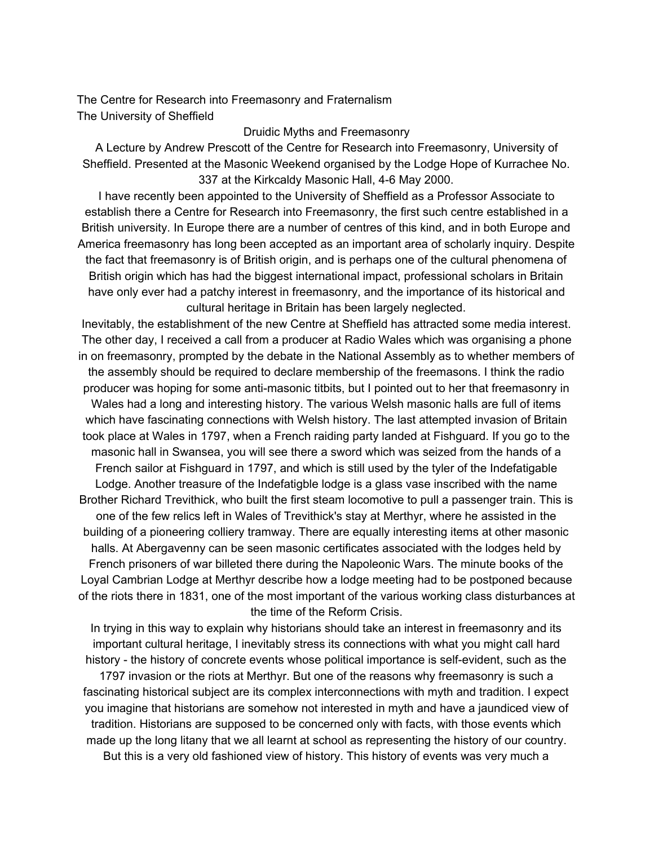The Centre for Research into Freemasonry and Fraternalism The University of Sheffield

Druidic Myths and Freemasonry

A Lecture by Andrew Prescott of the Centre for Research into Freemasonry, University of Sheffield. Presented at the Masonic Weekend organised by the Lodge Hope of Kurrachee No. 337 at the Kirkcaldy Masonic Hall, 4-6 May 2000.

I have recently been appointed to the University of Sheffield as a Professor Associate to establish there a Centre for Research into Freemasonry, the first such centre established in a British university. In Europe there are a number of centres of this kind, and in both Europe and America freemasonry has long been accepted as an important area of scholarly inquiry. Despite the fact that freemasonry is of British origin, and is perhaps one of the cultural phenomena of British origin which has had the biggest international impact, professional scholars in Britain have only ever had a patchy interest in freemasonry, and the importance of its historical and cultural heritage in Britain has been largely neglected.

Inevitably, the establishment of the new Centre at Sheffield has attracted some media interest. The other day, I received a call from a producer at Radio Wales which was organising a phone in on freemasonry, prompted by the debate in the National Assembly as to whether members of the assembly should be required to declare membership of the freemasons. I think the radio producer was hoping for some anti-masonic titbits, but I pointed out to her that freemasonry in Wales had a long and interesting history. The various Welsh masonic halls are full of items which have fascinating connections with Welsh history. The last attempted invasion of Britain took place at Wales in 1797, when a French raiding party landed at Fishguard. If you go to the masonic hall in Swansea, you will see there a sword which was seized from the hands of a French sailor at Fishguard in 1797, and which is still used by the tyler of the Indefatigable Lodge. Another treasure of the Indefatigble lodge is a glass vase inscribed with the name Brother Richard Trevithick, who built the first steam locomotive to pull a passenger train. This is one of the few relics left in Wales of Trevithick's stay at Merthyr, where he assisted in the building of a pioneering colliery tramway. There are equally interesting items at other masonic halls. At Abergavenny can be seen masonic certificates associated with the lodges held by French prisoners of war billeted there during the Napoleonic Wars. The minute books of the Loyal Cambrian Lodge at Merthyr describe how a lodge meeting had to be postponed because of the riots there in 1831, one of the most important of the various working class disturbances at the time of the Reform Crisis.

In trying in this way to explain why historians should take an interest in freemasonry and its important cultural heritage, I inevitably stress its connections with what you might call hard history - the history of concrete events whose political importance is self-evident, such as the 1797 invasion or the riots at Merthyr. But one of the reasons why freemasonry is such a fascinating historical subject are its complex interconnections with myth and tradition. I expect you imagine that historians are somehow not interested in myth and have a jaundiced view of tradition. Historians are supposed to be concerned only with facts, with those events which made up the long litany that we all learnt at school as representing the history of our country. But this is a very old fashioned view of history. This history of events was very much a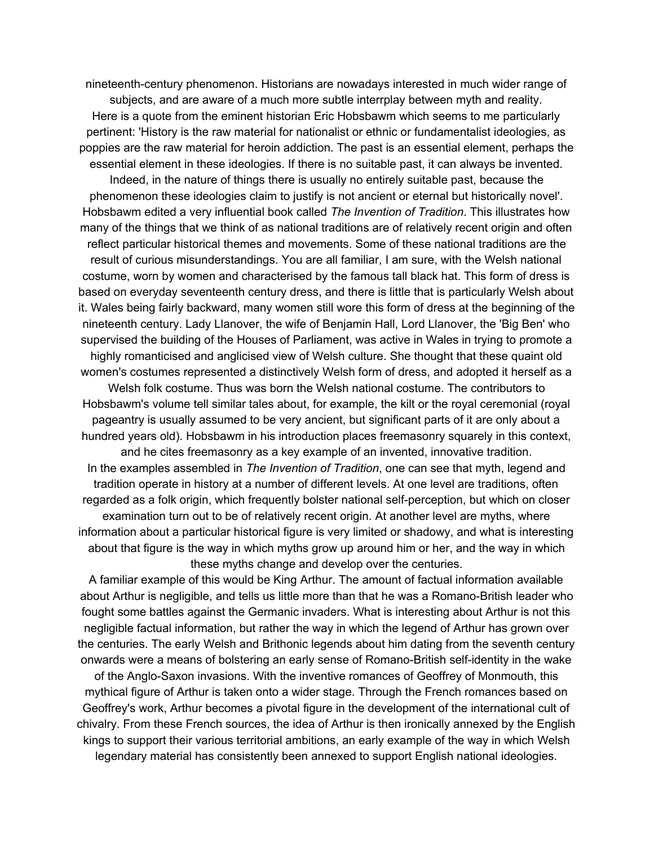nineteenth-century phenomenon. Historians are nowadays interested in much wider range of subjects, and are aware of a much more subtle interrplay between myth and reality. Here is a quote from the eminent historian Eric Hobsbawm which seems to me particularly pertinent: 'History is the raw material for nationalist or ethnic or fundamentalist ideologies, as poppies are the raw material for heroin addiction. The past is an essential element, perhaps the essential element in these ideologies. If there is no suitable past, it can always be invented. Indeed, in the nature of things there is usually no entirely suitable past, because the phenomenon these ideologies claim to justify is not ancient or eternal but historically novel'. Hobsbawm edited a very influential book called *The Invention of Tradition*. This illustrates how many of the things that we think of as national traditions are of relatively recent origin and often reflect particular historical themes and movements. Some of these national traditions are the result of curious misunderstandings. You are all familiar, I am sure, with the Welsh national costume, worn by women and characterised by the famous tall black hat. This form of dress is based on everyday seventeenth century dress, and there is little that is particularly Welsh about it. Wales being fairly backward, many women still wore this form of dress at the beginning of the nineteenth century. Lady Llanover, the wife of Benjamin Hall, Lord Llanover, the 'Big Ben' who supervised the building of the Houses of Parliament, was active in Wales in trying to promote a highly romanticised and anglicised view of Welsh culture. She thought that these quaint old women's costumes represented a distinctively Welsh form of dress, and adopted it herself as a Welsh folk costume. Thus was born the Welsh national costume. The contributors to Hobsbawm's volume tell similar tales about, for example, the kilt or the royal ceremonial (royal pageantry is usually assumed to be very ancient, but significant parts of it are only about a hundred years old). Hobsbawm in his introduction places freemasonry squarely in this context, and he cites freemasonry as a key example of an invented, innovative tradition. In the examples assembled in *The Invention of Tradition*, one can see that myth, legend and tradition operate in history at a number of different levels. At one level are traditions, often regarded as a folk origin, which frequently bolster national self-perception, but which on closer examination turn out to be of relatively recent origin. At another level are myths, where information about a particular historical figure is very limited or shadowy, and what is interesting about that figure is the way in which myths grow up around him or her, and the way in which these myths change and develop over the centuries.

A familiar example of this would be King Arthur. The amount of factual information available about Arthur is negligible, and tells us little more than that he was a Romano-British leader who fought some battles against the Germanic invaders. What is interesting about Arthur is not this negligible factual information, but rather the way in which the legend of Arthur has grown over the centuries. The early Welsh and Brithonic legends about him dating from the seventh century onwards were a means of bolstering an early sense of Romano-British self-identity in the wake of the Anglo-Saxon invasions. With the inventive romances of Geoffrey of Monmouth, this

mythical figure of Arthur is taken onto a wider stage. Through the French romances based on Geoffrey's work, Arthur becomes a pivotal figure in the development of the international cult of chivalry. From these French sources, the idea of Arthur is then ironically annexed by the English kings to support their various territorial ambitions, an early example of the way in which Welsh legendary material has consistently been annexed to support English national ideologies.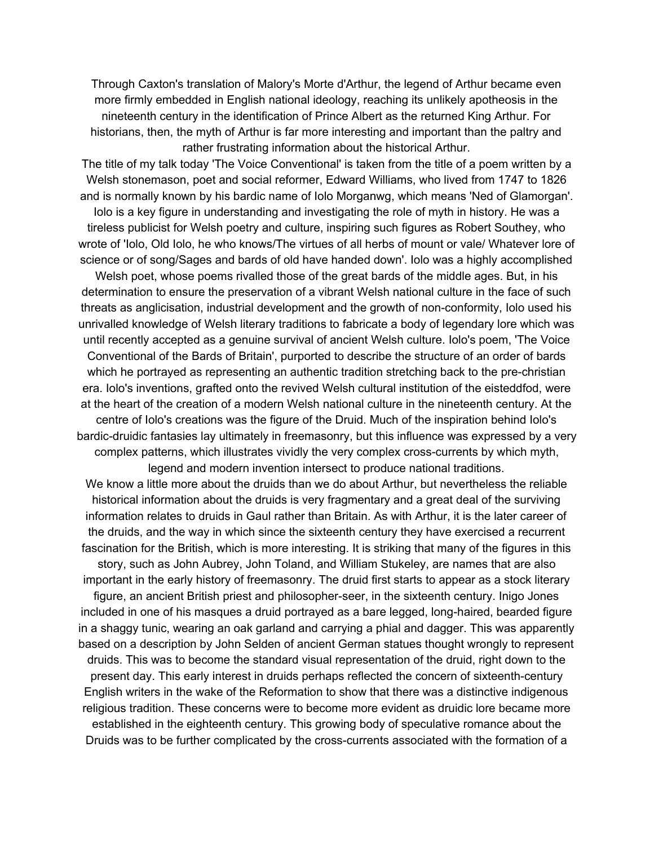Through Caxton's translation of Malory's Morte d'Arthur, the legend of Arthur became even more firmly embedded in English national ideology, reaching its unlikely apotheosis in the nineteenth century in the identification of Prince Albert as the returned King Arthur. For historians, then, the myth of Arthur is far more interesting and important than the paltry and rather frustrating information about the historical Arthur.

The title of my talk today 'The Voice Conventional' is taken from the title of a poem written by a Welsh stonemason, poet and social reformer, Edward Williams, who lived from 1747 to 1826 and is normally known by his bardic name of Iolo Morganwg, which means 'Ned of Glamorgan'.

Iolo is a key figure in understanding and investigating the role of myth in history. He was a tireless publicist for Welsh poetry and culture, inspiring such figures as Robert Southey, who wrote of 'Iolo, Old Iolo, he who knows/The virtues of all herbs of mount or vale/ Whatever lore of science or of song/Sages and bards of old have handed down'. Iolo was a highly accomplished

Welsh poet, whose poems rivalled those of the great bards of the middle ages. But, in his determination to ensure the preservation of a vibrant Welsh national culture in the face of such threats as anglicisation, industrial development and the growth of non-conformity, Iolo used his unrivalled knowledge of Welsh literary traditions to fabricate a body of legendary lore which was until recently accepted as a genuine survival of ancient Welsh culture. Iolo's poem, 'The Voice Conventional of the Bards of Britain', purported to describe the structure of an order of bards which he portrayed as representing an authentic tradition stretching back to the pre-christian era. Iolo's inventions, grafted onto the revived Welsh cultural institution of the eisteddfod, were at the heart of the creation of a modern Welsh national culture in the nineteenth century. At the centre of Iolo's creations was the figure of the Druid. Much of the inspiration behind Iolo's bardic-druidic fantasies lay ultimately in freemasonry, but this influence was expressed by a very complex patterns, which illustrates vividly the very complex cross-currents by which myth,

legend and modern invention intersect to produce national traditions. We know a little more about the druids than we do about Arthur, but nevertheless the reliable historical information about the druids is very fragmentary and a great deal of the surviving information relates to druids in Gaul rather than Britain. As with Arthur, it is the later career of the druids, and the way in which since the sixteenth century they have exercised a recurrent fascination for the British, which is more interesting. It is striking that many of the figures in this story, such as John Aubrey, John Toland, and William Stukeley, are names that are also important in the early history of freemasonry. The druid first starts to appear as a stock literary figure, an ancient British priest and philosopher-seer, in the sixteenth century. Inigo Jones included in one of his masques a druid portrayed as a bare legged, long-haired, bearded figure in a shaggy tunic, wearing an oak garland and carrying a phial and dagger. This was apparently based on a description by John Selden of ancient German statues thought wrongly to represent druids. This was to become the standard visual representation of the druid, right down to the present day. This early interest in druids perhaps reflected the concern of sixteenth-century English writers in the wake of the Reformation to show that there was a distinctive indigenous religious tradition. These concerns were to become more evident as druidic lore became more established in the eighteenth century. This growing body of speculative romance about the Druids was to be further complicated by the cross-currents associated with the formation of a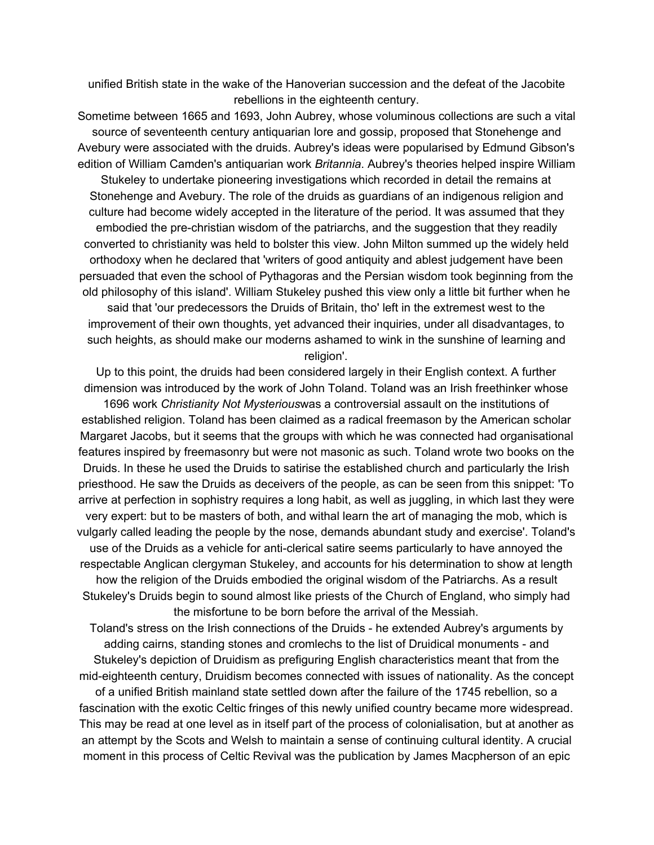unified British state in the wake of the Hanoverian succession and the defeat of the Jacobite rebellions in the eighteenth century.

Sometime between 1665 and 1693, John Aubrey, whose voluminous collections are such a vital source of seventeenth century antiquarian lore and gossip, proposed that Stonehenge and Avebury were associated with the druids. Aubrey's ideas were popularised by Edmund Gibson's edition of William Camden's antiquarian work *Britannia*. Aubrey's theories helped inspire William Stukeley to undertake pioneering investigations which recorded in detail the remains at Stonehenge and Avebury. The role of the druids as guardians of an indigenous religion and culture had become widely accepted in the literature of the period. It was assumed that they embodied the pre-christian wisdom of the patriarchs, and the suggestion that they readily converted to christianity was held to bolster this view. John Milton summed up the widely held orthodoxy when he declared that 'writers of good antiquity and ablest judgement have been persuaded that even the school of Pythagoras and the Persian wisdom took beginning from the old philosophy of this island'. William Stukeley pushed this view only a little bit further when he said that 'our predecessors the Druids of Britain, tho' left in the extremest west to the improvement of their own thoughts, yet advanced their inquiries, under all disadvantages, to such heights, as should make our moderns ashamed to wink in the sunshine of learning and religion'.

Up to this point, the druids had been considered largely in their English context. A further dimension was introduced by the work of John Toland. Toland was an Irish freethinker whose 1696 work *Christianity Not Mysterious*was a controversial assault on the institutions of established religion. Toland has been claimed as a radical freemason by the American scholar Margaret Jacobs, but it seems that the groups with which he was connected had organisational features inspired by freemasonry but were not masonic as such. Toland wrote two books on the Druids. In these he used the Druids to satirise the established church and particularly the Irish priesthood. He saw the Druids as deceivers of the people, as can be seen from this snippet: 'To arrive at perfection in sophistry requires a long habit, as well as juggling, in which last they were very expert: but to be masters of both, and withal learn the art of managing the mob, which is vulgarly called leading the people by the nose, demands abundant study and exercise'. Toland's use of the Druids as a vehicle for anti-clerical satire seems particularly to have annoyed the respectable Anglican clergyman Stukeley, and accounts for his determination to show at length how the religion of the Druids embodied the original wisdom of the Patriarchs. As a result Stukeley's Druids begin to sound almost like priests of the Church of England, who simply had the misfortune to be born before the arrival of the Messiah.

Toland's stress on the Irish connections of the Druids - he extended Aubrey's arguments by adding cairns, standing stones and cromlechs to the list of Druidical monuments - and Stukeley's depiction of Druidism as prefiguring English characteristics meant that from the mid-eighteenth century, Druidism becomes connected with issues of nationality. As the concept of a unified British mainland state settled down after the failure of the 1745 rebellion, so a fascination with the exotic Celtic fringes of this newly unified country became more widespread. This may be read at one level as in itself part of the process of colonialisation, but at another as an attempt by the Scots and Welsh to maintain a sense of continuing cultural identity. A crucial moment in this process of Celtic Revival was the publication by James Macpherson of an epic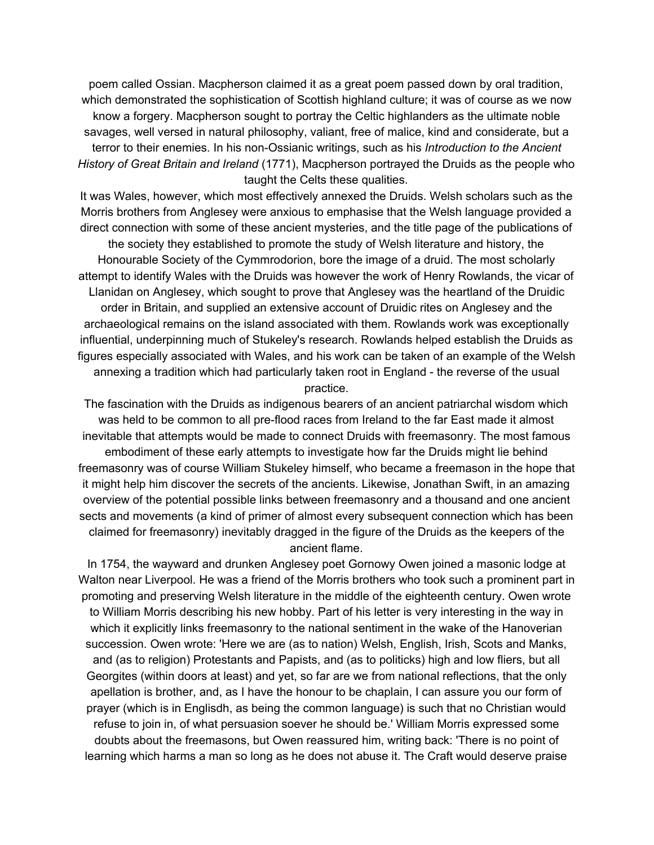poem called Ossian. Macpherson claimed it as a great poem passed down by oral tradition, which demonstrated the sophistication of Scottish highland culture; it was of course as we now know a forgery. Macpherson sought to portray the Celtic highlanders as the ultimate noble savages, well versed in natural philosophy, valiant, free of malice, kind and considerate, but a terror to their enemies. In his non-Ossianic writings, such as his *Introduction to the Ancient History of Great Britain and Ireland* (1771), Macpherson portrayed the Druids as the people who taught the Celts these qualities.

It was Wales, however, which most effectively annexed the Druids. Welsh scholars such as the Morris brothers from Anglesey were anxious to emphasise that the Welsh language provided a direct connection with some of these ancient mysteries, and the title page of the publications of the society they established to promote the study of Welsh literature and history, the Honourable Society of the Cymmrodorion, bore the image of a druid. The most scholarly attempt to identify Wales with the Druids was however the work of Henry Rowlands, the vicar of Llanidan on Anglesey, which sought to prove that Anglesey was the heartland of the Druidic order in Britain, and supplied an extensive account of Druidic rites on Anglesey and the archaeological remains on the island associated with them. Rowlands work was exceptionally influential, underpinning much of Stukeley's research. Rowlands helped establish the Druids as figures especially associated with Wales, and his work can be taken of an example of the Welsh annexing a tradition which had particularly taken root in England - the reverse of the usual practice.

The fascination with the Druids as indigenous bearers of an ancient patriarchal wisdom which was held to be common to all pre-flood races from Ireland to the far East made it almost inevitable that attempts would be made to connect Druids with freemasonry. The most famous embodiment of these early attempts to investigate how far the Druids might lie behind freemasonry was of course William Stukeley himself, who became a freemason in the hope that it might help him discover the secrets of the ancients. Likewise, Jonathan Swift, in an amazing overview of the potential possible links between freemasonry and a thousand and one ancient sects and movements (a kind of primer of almost every subsequent connection which has been claimed for freemasonry) inevitably dragged in the figure of the Druids as the keepers of the ancient flame.

In 1754, the wayward and drunken Anglesey poet Gornowy Owen joined a masonic lodge at Walton near Liverpool. He was a friend of the Morris brothers who took such a prominent part in promoting and preserving Welsh literature in the middle of the eighteenth century. Owen wrote to William Morris describing his new hobby. Part of his letter is very interesting in the way in which it explicitly links freemasonry to the national sentiment in the wake of the Hanoverian succession. Owen wrote: 'Here we are (as to nation) Welsh, English, Irish, Scots and Manks, and (as to religion) Protestants and Papists, and (as to politicks) high and low fliers, but all Georgites (within doors at least) and yet, so far are we from national reflections, that the only apellation is brother, and, as I have the honour to be chaplain, I can assure you our form of prayer (which is in Englisdh, as being the common language) is such that no Christian would refuse to join in, of what persuasion soever he should be.' William Morris expressed some doubts about the freemasons, but Owen reassured him, writing back: 'There is no point of learning which harms a man so long as he does not abuse it. The Craft would deserve praise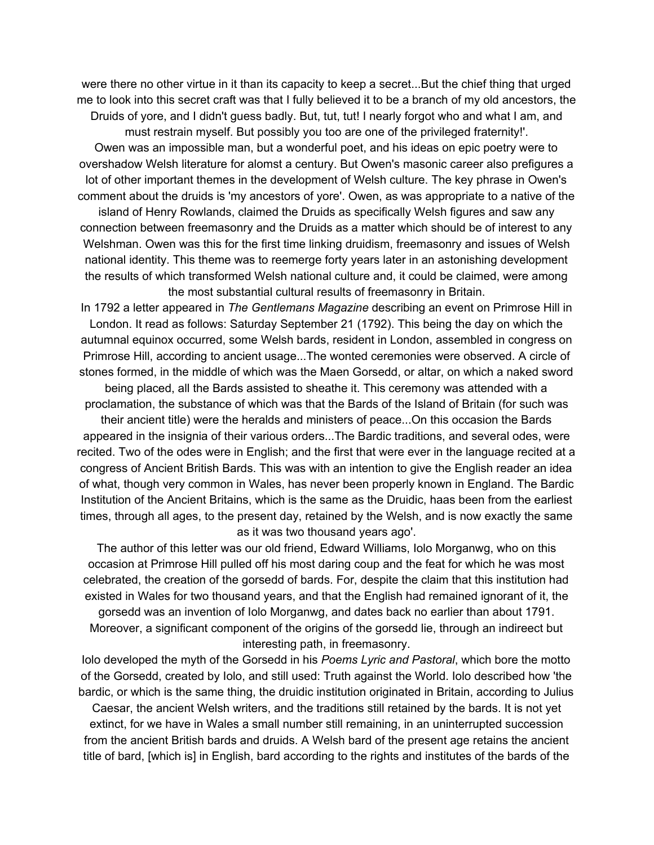were there no other virtue in it than its capacity to keep a secret...But the chief thing that urged me to look into this secret craft was that I fully believed it to be a branch of my old ancestors, the Druids of yore, and I didn't guess badly. But, tut, tut! I nearly forgot who and what I am, and must restrain myself. But possibly you too are one of the privileged fraternity!'.

Owen was an impossible man, but a wonderful poet, and his ideas on epic poetry were to overshadow Welsh literature for alomst a century. But Owen's masonic career also prefigures a lot of other important themes in the development of Welsh culture. The key phrase in Owen's comment about the druids is 'my ancestors of yore'. Owen, as was appropriate to a native of the

island of Henry Rowlands, claimed the Druids as specifically Welsh figures and saw any connection between freemasonry and the Druids as a matter which should be of interest to any Welshman. Owen was this for the first time linking druidism, freemasonry and issues of Welsh national identity. This theme was to reemerge forty years later in an astonishing development the results of which transformed Welsh national culture and, it could be claimed, were among the most substantial cultural results of freemasonry in Britain.

In 1792 a letter appeared in *The Gentlemans Magazine* describing an event on Primrose Hill in London. It read as follows: Saturday September 21 (1792). This being the day on which the autumnal equinox occurred, some Welsh bards, resident in London, assembled in congress on Primrose Hill, according to ancient usage...The wonted ceremonies were observed. A circle of stones formed, in the middle of which was the Maen Gorsedd, or altar, on which a naked sword

being placed, all the Bards assisted to sheathe it. This ceremony was attended with a proclamation, the substance of which was that the Bards of the Island of Britain (for such was their ancient title) were the heralds and ministers of peace...On this occasion the Bards appeared in the insignia of their various orders...The Bardic traditions, and several odes, were recited. Two of the odes were in English; and the first that were ever in the language recited at a congress of Ancient British Bards. This was with an intention to give the English reader an idea of what, though very common in Wales, has never been properly known in England. The Bardic Institution of the Ancient Britains, which is the same as the Druidic, haas been from the earliest times, through all ages, to the present day, retained by the Welsh, and is now exactly the same

as it was two thousand years ago'.

The author of this letter was our old friend, Edward Williams, Iolo Morganwg, who on this occasion at Primrose Hill pulled off his most daring coup and the feat for which he was most celebrated, the creation of the gorsedd of bards. For, despite the claim that this institution had existed in Wales for two thousand years, and that the English had remained ignorant of it, the gorsedd was an invention of Iolo Morganwg, and dates back no earlier than about 1791. Moreover, a significant component of the origins of the gorsedd lie, through an indireect but interesting path, in freemasonry.

Iolo developed the myth of the Gorsedd in his *Poems Lyric and Pastoral*, which bore the motto of the Gorsedd, created by Iolo, and still used: Truth against the World. Iolo described how 'the bardic, or which is the same thing, the druidic institution originated in Britain, according to Julius

Caesar, the ancient Welsh writers, and the traditions still retained by the bards. It is not yet extinct, for we have in Wales a small number still remaining, in an uninterrupted succession from the ancient British bards and druids. A Welsh bard of the present age retains the ancient title of bard, [which is] in English, bard according to the rights and institutes of the bards of the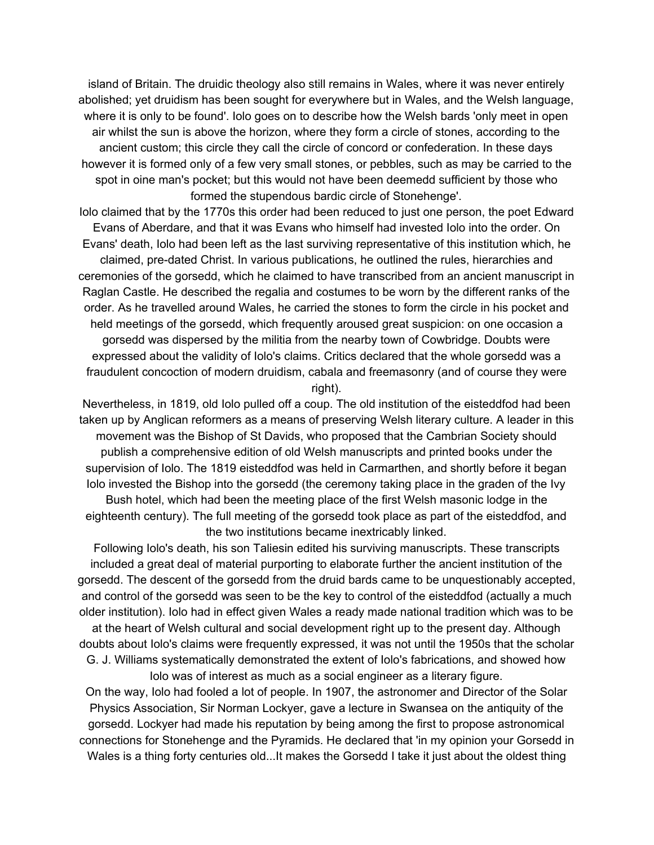island of Britain. The druidic theology also still remains in Wales, where it was never entirely abolished; yet druidism has been sought for everywhere but in Wales, and the Welsh language, where it is only to be found'. Iolo goes on to describe how the Welsh bards 'only meet in open air whilst the sun is above the horizon, where they form a circle of stones, according to the ancient custom; this circle they call the circle of concord or confederation. In these days however it is formed only of a few very small stones, or pebbles, such as may be carried to the spot in oine man's pocket; but this would not have been deemedd sufficient by those who formed the stupendous bardic circle of Stonehenge'.

Iolo claimed that by the 1770s this order had been reduced to just one person, the poet Edward Evans of Aberdare, and that it was Evans who himself had invested Iolo into the order. On Evans' death, Iolo had been left as the last surviving representative of this institution which, he claimed, pre-dated Christ. In various publications, he outlined the rules, hierarchies and ceremonies of the gorsedd, which he claimed to have transcribed from an ancient manuscript in Raglan Castle. He described the regalia and costumes to be worn by the different ranks of the order. As he travelled around Wales, he carried the stones to form the circle in his pocket and held meetings of the gorsedd, which frequently aroused great suspicion: on one occasion a gorsedd was dispersed by the militia from the nearby town of Cowbridge. Doubts were expressed about the validity of Iolo's claims. Critics declared that the whole gorsedd was a fraudulent concoction of modern druidism, cabala and freemasonry (and of course they were right).

Nevertheless, in 1819, old Iolo pulled off a coup. The old institution of the eisteddfod had been taken up by Anglican reformers as a means of preserving Welsh literary culture. A leader in this movement was the Bishop of St Davids, who proposed that the Cambrian Society should publish a comprehensive edition of old Welsh manuscripts and printed books under the supervision of Iolo. The 1819 eisteddfod was held in Carmarthen, and shortly before it began Iolo invested the Bishop into the gorsedd (the ceremony taking place in the graden of the Ivy Bush hotel, which had been the meeting place of the first Welsh masonic lodge in the eighteenth century). The full meeting of the gorsedd took place as part of the eisteddfod, and the two institutions became inextricably linked.

Following Iolo's death, his son Taliesin edited his surviving manuscripts. These transcripts included a great deal of material purporting to elaborate further the ancient institution of the gorsedd. The descent of the gorsedd from the druid bards came to be unquestionably accepted, and control of the gorsedd was seen to be the key to control of the eisteddfod (actually a much older institution). Iolo had in effect given Wales a ready made national tradition which was to be at the heart of Welsh cultural and social development right up to the present day. Although doubts about Iolo's claims were frequently expressed, it was not until the 1950s that the scholar G. J. Williams systematically demonstrated the extent of Iolo's fabrications, and showed how Iolo was of interest as much as a social engineer as a literary figure. On the way, Iolo had fooled a lot of people. In 1907, the astronomer and Director of the Solar Physics Association, Sir Norman Lockyer, gave a lecture in Swansea on the antiquity of the gorsedd. Lockyer had made his reputation by being among the first to propose astronomical connections for Stonehenge and the Pyramids. He declared that 'in my opinion your Gorsedd in Wales is a thing forty centuries old...It makes the Gorsedd I take it just about the oldest thing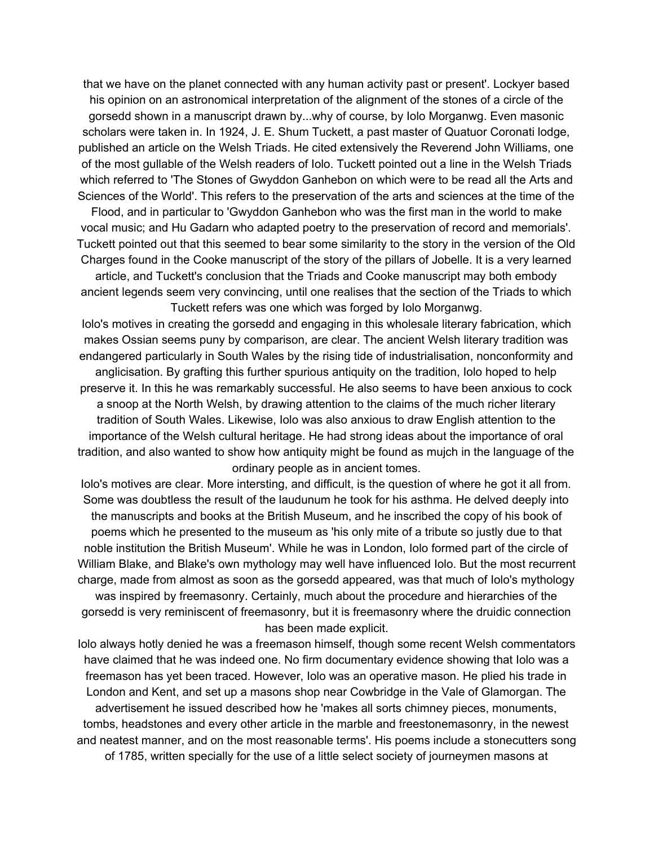that we have on the planet connected with any human activity past or present'. Lockyer based his opinion on an astronomical interpretation of the alignment of the stones of a circle of the gorsedd shown in a manuscript drawn by...why of course, by Iolo Morganwg. Even masonic scholars were taken in. In 1924, J. E. Shum Tuckett, a past master of Quatuor Coronati lodge, published an article on the Welsh Triads. He cited extensively the Reverend John Williams, one of the most gullable of the Welsh readers of Iolo. Tuckett pointed out a line in the Welsh Triads which referred to 'The Stones of Gwyddon Ganhebon on which were to be read all the Arts and Sciences of the World'. This refers to the preservation of the arts and sciences at the time of the

Flood, and in particular to 'Gwyddon Ganhebon who was the first man in the world to make vocal music; and Hu Gadarn who adapted poetry to the preservation of record and memorials'. Tuckett pointed out that this seemed to bear some similarity to the story in the version of the Old Charges found in the Cooke manuscript of the story of the pillars of Jobelle. It is a very learned

article, and Tuckett's conclusion that the Triads and Cooke manuscript may both embody ancient legends seem very convincing, until one realises that the section of the Triads to which Tuckett refers was one which was forged by Iolo Morganwg.

Iolo's motives in creating the gorsedd and engaging in this wholesale literary fabrication, which makes Ossian seems puny by comparison, are clear. The ancient Welsh literary tradition was endangered particularly in South Wales by the rising tide of industrialisation, nonconformity and anglicisation. By grafting this further spurious antiquity on the tradition, Iolo hoped to help preserve it. In this he was remarkably successful. He also seems to have been anxious to cock a snoop at the North Welsh, by drawing attention to the claims of the much richer literary tradition of South Wales. Likewise, Iolo was also anxious to draw English attention to the importance of the Welsh cultural heritage. He had strong ideas about the importance of oral tradition, and also wanted to show how antiquity might be found as mujch in the language of the ordinary people as in ancient tomes.

Iolo's motives are clear. More intersting, and difficult, is the question of where he got it all from. Some was doubtless the result of the laudunum he took for his asthma. He delved deeply into the manuscripts and books at the British Museum, and he inscribed the copy of his book of poems which he presented to the museum as 'his only mite of a tribute so justly due to that noble institution the British Museum'. While he was in London, Iolo formed part of the circle of William Blake, and Blake's own mythology may well have influenced Iolo. But the most recurrent charge, made from almost as soon as the gorsedd appeared, was that much of Iolo's mythology was inspired by freemasonry. Certainly, much about the procedure and hierarchies of the gorsedd is very reminiscent of freemasonry, but it is freemasonry where the druidic connection has been made explicit.

Iolo always hotly denied he was a freemason himself, though some recent Welsh commentators have claimed that he was indeed one. No firm documentary evidence showing that Iolo was a freemason has yet been traced. However, Iolo was an operative mason. He plied his trade in London and Kent, and set up a masons shop near Cowbridge in the Vale of Glamorgan. The advertisement he issued described how he 'makes all sorts chimney pieces, monuments, tombs, headstones and every other article in the marble and freestonemasonry, in the newest and neatest manner, and on the most reasonable terms'. His poems include a stonecutters song of 1785, written specially for the use of a little select society of journeymen masons at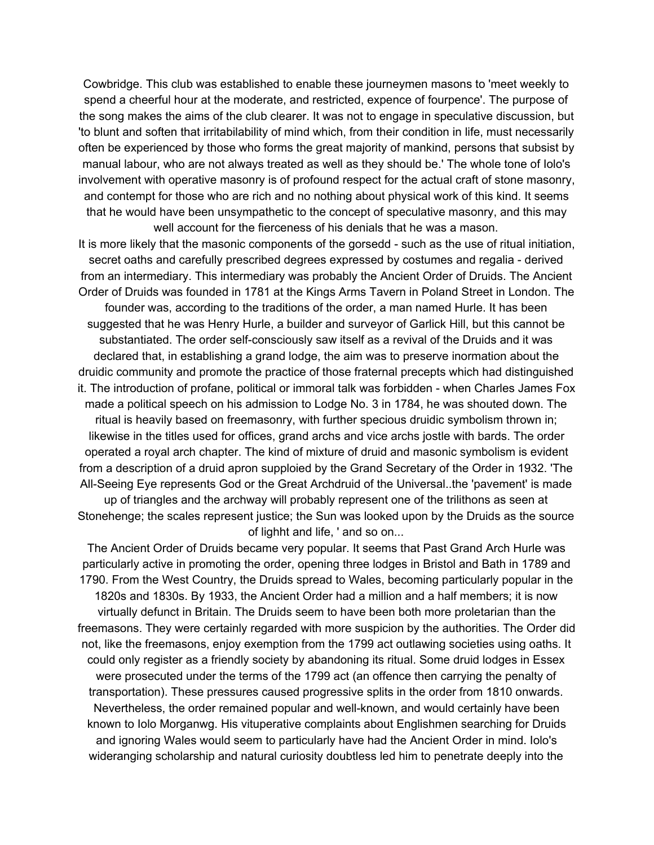Cowbridge. This club was established to enable these journeymen masons to 'meet weekly to spend a cheerful hour at the moderate, and restricted, expence of fourpence'. The purpose of the song makes the aims of the club clearer. It was not to engage in speculative discussion, but 'to blunt and soften that irritabilability of mind which, from their condition in life, must necessarily often be experienced by those who forms the great majority of mankind, persons that subsist by manual labour, who are not always treated as well as they should be.' The whole tone of Iolo's involvement with operative masonry is of profound respect for the actual craft of stone masonry, and contempt for those who are rich and no nothing about physical work of this kind. It seems that he would have been unsympathetic to the concept of speculative masonry, and this may well account for the fierceness of his denials that he was a mason.

It is more likely that the masonic components of the gorsedd - such as the use of ritual initiation, secret oaths and carefully prescribed degrees expressed by costumes and regalia - derived from an intermediary. This intermediary was probably the Ancient Order of Druids. The Ancient Order of Druids was founded in 1781 at the Kings Arms Tavern in Poland Street in London. The founder was, according to the traditions of the order, a man named Hurle. It has been suggested that he was Henry Hurle, a builder and surveyor of Garlick Hill, but this cannot be substantiated. The order self-consciously saw itself as a revival of the Druids and it was declared that, in establishing a grand lodge, the aim was to preserve inormation about the druidic community and promote the practice of those fraternal precepts which had distinguished it. The introduction of profane, political or immoral talk was forbidden - when Charles James Fox made a political speech on his admission to Lodge No. 3 in 1784, he was shouted down. The ritual is heavily based on freemasonry, with further specious druidic symbolism thrown in; likewise in the titles used for offices, grand archs and vice archs jostle with bards. The order operated a royal arch chapter. The kind of mixture of druid and masonic symbolism is evident from a description of a druid apron supploied by the Grand Secretary of the Order in 1932. 'The All-Seeing Eye represents God or the Great Archdruid of the Universal..the 'pavement' is made up of triangles and the archway will probably represent one of the trilithons as seen at Stonehenge; the scales represent justice; the Sun was looked upon by the Druids as the source of lighht and life, ' and so on...

The Ancient Order of Druids became very popular. It seems that Past Grand Arch Hurle was particularly active in promoting the order, opening three lodges in Bristol and Bath in 1789 and 1790. From the West Country, the Druids spread to Wales, becoming particularly popular in the 1820s and 1830s. By 1933, the Ancient Order had a million and a half members; it is now virtually defunct in Britain. The Druids seem to have been both more proletarian than the freemasons. They were certainly regarded with more suspicion by the authorities. The Order did not, like the freemasons, enjoy exemption from the 1799 act outlawing societies using oaths. It could only register as a friendly society by abandoning its ritual. Some druid lodges in Essex were prosecuted under the terms of the 1799 act (an offence then carrying the penalty of transportation). These pressures caused progressive splits in the order from 1810 onwards. Nevertheless, the order remained popular and well-known, and would certainly have been known to Iolo Morganwg. His vituperative complaints about Englishmen searching for Druids and ignoring Wales would seem to particularly have had the Ancient Order in mind. Iolo's wideranging scholarship and natural curiosity doubtless led him to penetrate deeply into the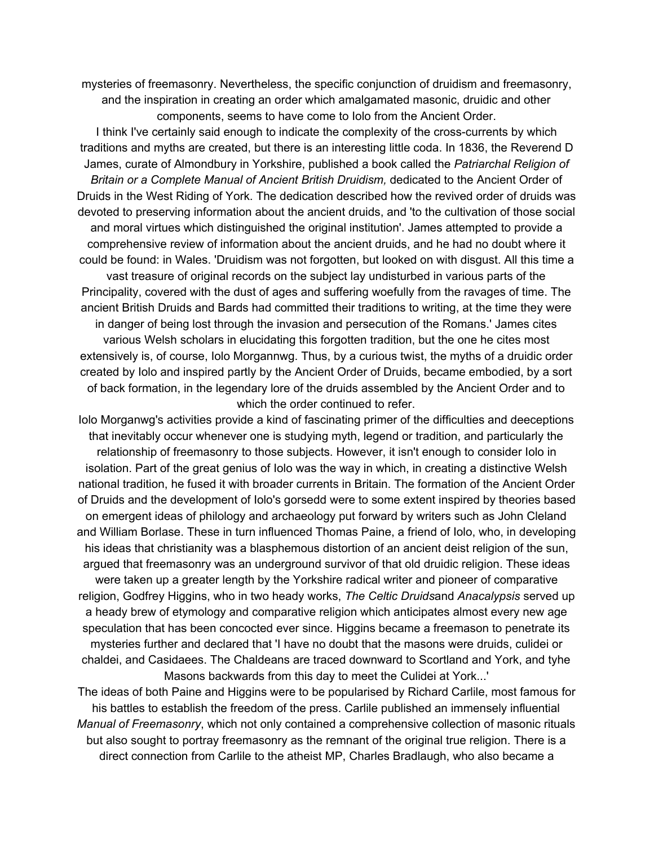mysteries of freemasonry. Nevertheless, the specific conjunction of druidism and freemasonry, and the inspiration in creating an order which amalgamated masonic, druidic and other components, seems to have come to Iolo from the Ancient Order.

I think I've certainly said enough to indicate the complexity of the cross-currents by which traditions and myths are created, but there is an interesting little coda. In 1836, the Reverend D James, curate of Almondbury in Yorkshire, published a book called the *Patriarchal Religion of Britain or a Complete Manual of Ancient British Druidism,* dedicated to the Ancient Order of Druids in the West Riding of York. The dedication described how the revived order of druids was devoted to preserving information about the ancient druids, and 'to the cultivation of those social and moral virtues which distinguished the original institution'. James attempted to provide a comprehensive review of information about the ancient druids, and he had no doubt where it could be found: in Wales. 'Druidism was not forgotten, but looked on with disgust. All this time a vast treasure of original records on the subject lay undisturbed in various parts of the Principality, covered with the dust of ages and suffering woefully from the ravages of time. The ancient British Druids and Bards had committed their traditions to writing, at the time they were in danger of being lost through the invasion and persecution of the Romans.' James cites various Welsh scholars in elucidating this forgotten tradition, but the one he cites most extensively is, of course, Iolo Morgannwg. Thus, by a curious twist, the myths of a druidic order created by Iolo and inspired partly by the Ancient Order of Druids, became embodied, by a sort of back formation, in the legendary lore of the druids assembled by the Ancient Order and to which the order continued to refer.

Iolo Morganwg's activities provide a kind of fascinating primer of the difficulties and deeceptions that inevitably occur whenever one is studying myth, legend or tradition, and particularly the relationship of freemasonry to those subjects. However, it isn't enough to consider Iolo in isolation. Part of the great genius of Iolo was the way in which, in creating a distinctive Welsh national tradition, he fused it with broader currents in Britain. The formation of the Ancient Order of Druids and the development of Iolo's gorsedd were to some extent inspired by theories based on emergent ideas of philology and archaeology put forward by writers such as John Cleland and William Borlase. These in turn influenced Thomas Paine, a friend of Iolo, who, in developing his ideas that christianity was a blasphemous distortion of an ancient deist religion of the sun, argued that freemasonry was an underground survivor of that old druidic religion. These ideas were taken up a greater length by the Yorkshire radical writer and pioneer of comparative religion, Godfrey Higgins, who in two heady works, *The Celtic Druids*and *Anacalypsis* served up a heady brew of etymology and comparative religion which anticipates almost every new age speculation that has been concocted ever since. Higgins became a freemason to penetrate its mysteries further and declared that 'I have no doubt that the masons were druids, culidei or chaldei, and Casidaees. The Chaldeans are traced downward to Scortland and York, and tyhe Masons backwards from this day to meet the Culidei at York...'

The ideas of both Paine and Higgins were to be popularised by Richard Carlile, most famous for his battles to establish the freedom of the press. Carlile published an immensely influential *Manual of Freemasonry*, which not only contained a comprehensive collection of masonic rituals but also sought to portray freemasonry as the remnant of the original true religion. There is a direct connection from Carlile to the atheist MP, Charles Bradlaugh, who also became a